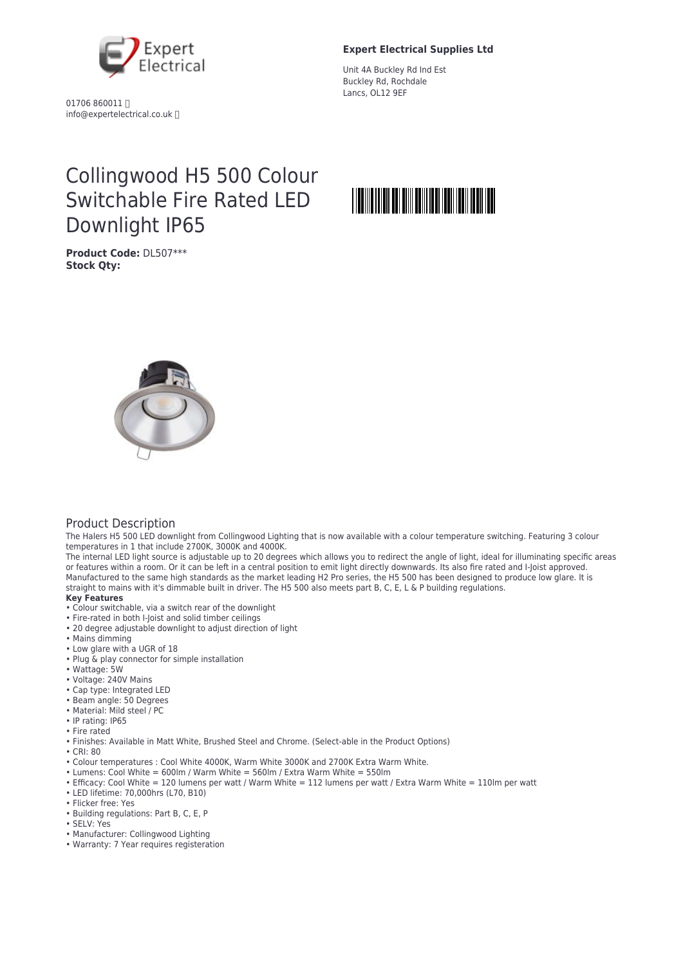

01706 860011 info@expertelectrical.co.uk

### **Expert Electrical Supplies Ltd**

Unit 4A Buckley Rd Ind Est Buckley Rd, Rochdale Lancs, OL12 9EF

# Collingwood H5 500 Colour Switchable Fire Rated LED Downlight IP65

**Product Code:** DL507\*\*\* **Stock Qty:**



#### Product Description

The Halers H5 500 LED downlight from Collingwood Lighting that is now available with a colour temperature switching. Featuring 3 colour temperatures in 1 that include 2700K, 3000K and 4000K.

The internal LED light source is adjustable up to 20 degrees which allows you to redirect the angle of light, ideal for illuminating specific areas or features within a room. Or it can be left in a central position to emit light directly downwards. Its also fire rated and I-Joist approved. Manufactured to the same high standards as the market leading H2 Pro series, the H5 500 has been designed to produce low glare. It is straight to mains with it's dimmable built in driver. The H5 500 also meets part B, C, E, L & P building regulations.

#### **Key Features**

- Colour switchable, via a switch rear of the downlight
- Fire-rated in both I-Joist and solid timber ceilings
- 20 degree adjustable downlight to adjust direction of light
- Mains dimming
- Low glare with a UGR of 18
- Plug & play connector for simple installation
- Wattage: 5W
- Voltage: 240V Mains
- Cap type: Integrated LED
- Beam angle: 50 Degrees
- Material: Mild steel / PC
- IP rating: IP65
- Fire rated
- Finishes: Available in Matt White, Brushed Steel and Chrome. (Select-able in the Product Options)
- CRI: 80
- Colour temperatures : Cool White 4000K, Warm White 3000K and 2700K Extra Warm White.
- Lumens: Cool White = 600lm / Warm White = 560lm / Extra Warm White = 550lm
- Efficacy: Cool White = 120 lumens per watt / Warm White = 112 lumens per watt / Extra Warm White = 110lm per watt
- LED lifetime: 70,000hrs (L70, B10)
- Flicker free: Yes
- Building regulations: Part B, C, E, P
- SELV: Yes
- Manufacturer: Collingwood Lighting
- Warranty: 7 Year requires registeration